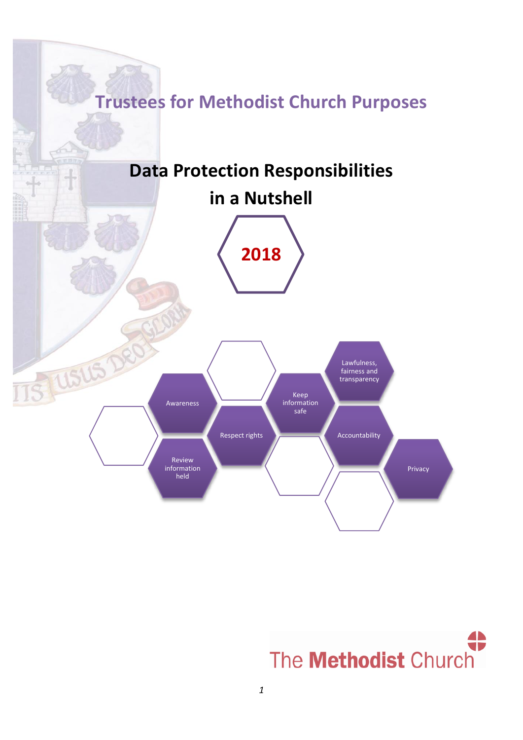

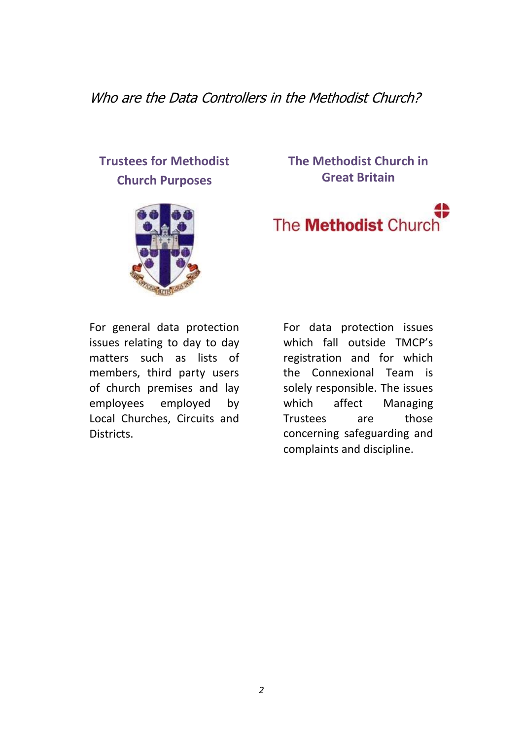Who are the Data Controllers in the Methodist Church?

# **Trustees for Methodist Church Purposes**



### **The Methodist Church in Great Britain**

# The **Methodist** Church

For general data protection issues relating to day to day matters such as lists of members, third party users of church premises and lay employees employed by Local Churches, Circuits and Districts.

For data protection issues which fall outside TMCP's registration and for which the Connexional Team is solely responsible. The issues which affect Managing Trustees are those concerning safeguarding and complaints and discipline.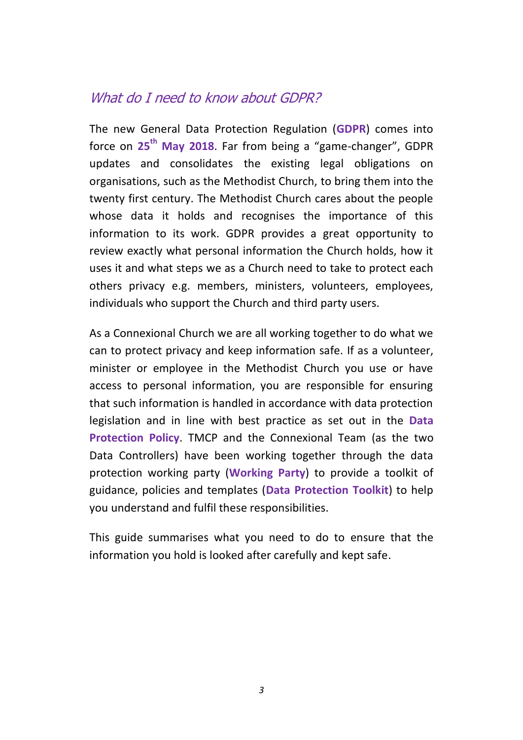### What do I need to know about GDPR?

The new General Data Protection Regulation (**GDPR**) comes into force on **25th May 2018**. Far from being a "game-changer", GDPR updates and consolidates the existing legal obligations on organisations, such as the Methodist Church, to bring them into the twenty first century. The Methodist Church cares about the people whose data it holds and recognises the importance of this information to its work. GDPR provides a great opportunity to review exactly what personal information the Church holds, how it uses it and what steps we as a Church need to take to protect each others privacy e.g. members, ministers, volunteers, employees, individuals who support the Church and third party users.

As a Connexional Church we are all working together to do what we can to protect privacy and keep information safe. If as a volunteer, minister or employee in the Methodist Church you use or have access to personal information, you are responsible for ensuring that such information is handled in accordance with data protection legislation and in line with best practice as set out in the **Data Protection Policy**. TMCP and the Connexional Team (as the two Data Controllers) have been working together through the data protection working party (**Working Party**) to provide a toolkit of guidance, policies and templates (**Data Protection Toolkit**) to help you understand and fulfil these responsibilities.

This guide summarises what you need to do to ensure that the information you hold is looked after carefully and kept safe.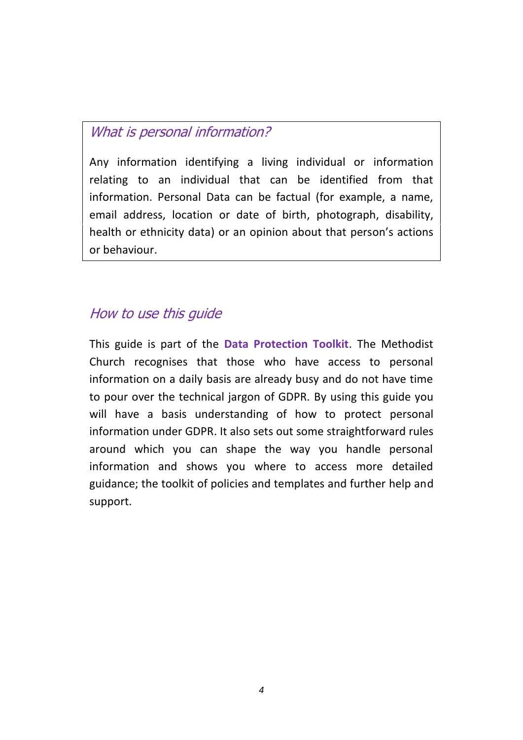# What is personal information?

Any information identifying a living individual or information relating to an individual that can be identified from that information. Personal Data can be factual (for example, a name, email address, location or date of birth, photograph, disability, health or ethnicity data) or an opinion about that person's actions or behaviour.

# How to use this guide

This guide is part of the **Data Protection Toolkit**. The Methodist Church recognises that those who have access to personal information on a daily basis are already busy and do not have time to pour over the technical jargon of GDPR. By using this guide you will have a basis understanding of how to protect personal information under GDPR. It also sets out some straightforward rules around which you can shape the way you handle personal information and shows you where to access more detailed guidance; the toolkit of policies and templates and further help and support.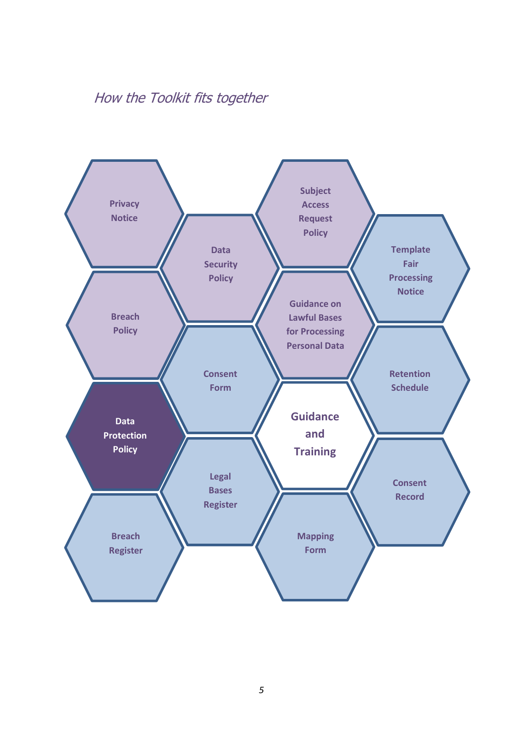# How the Toolkit fits together

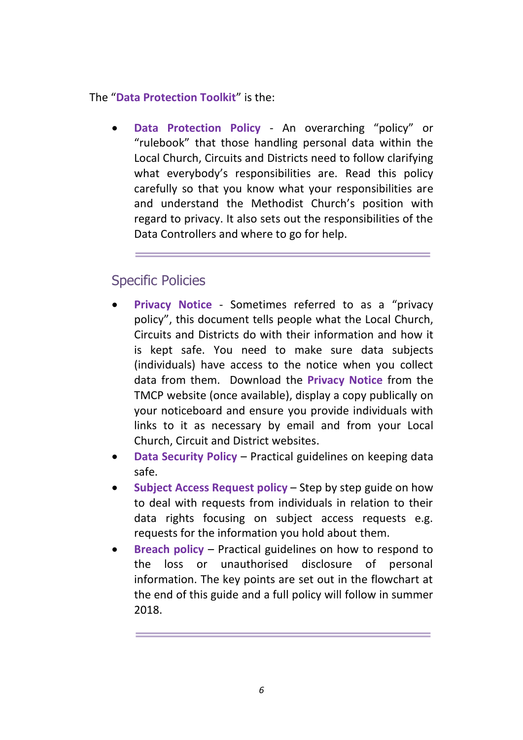The "**Data Protection Toolkit**" is the:

 **Data Protection Policy** - An overarching "policy" or "rulebook" that those handling personal data within the Local Church, Circuits and Districts need to follow clarifying what everybody's responsibilities are. Read this policy carefully so that you know what your responsibilities are and understand the Methodist Church's position with regard to privacy. It also sets out the responsibilities of the Data Controllers and where to go for help.

# Specific Policies

- **Privacy Notice** Sometimes referred to as a "privacy policy", this document tells people what the Local Church, Circuits and Districts do with their information and how it is kept safe. You need to make sure data subjects (individuals) have access to the notice when you collect data from them. Download the **Privacy Notice** from the TMCP website (once available), display a copy publically on your noticeboard and ensure you provide individuals with links to it as necessary by email and from your Local Church, Circuit and District websites.
- **Data Security Policy** Practical guidelines on keeping data safe.
- **Subject Access Request policy** Step by step guide on how to deal with requests from individuals in relation to their data rights focusing on subject access requests e.g. requests for the information you hold about them.
- **Breach policy** Practical guidelines on how to respond to the loss or unauthorised disclosure of personal information. The key points are set out in the flowchart at the end of this guide and a full policy will follow in summer 2018.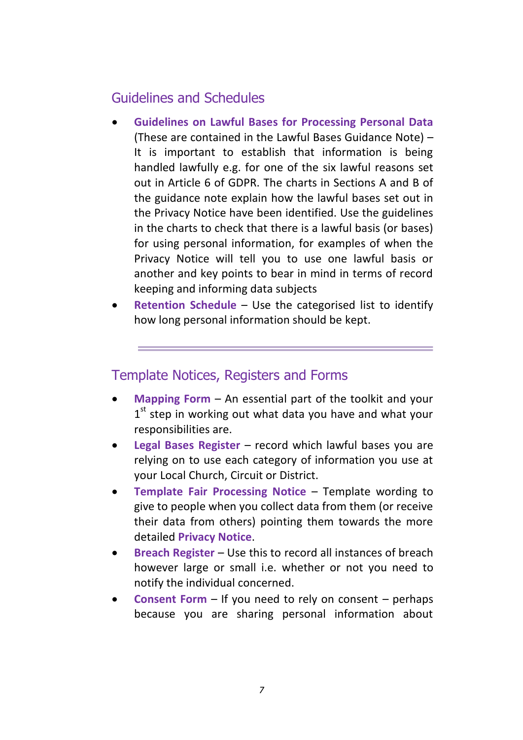# Guidelines and Schedules

- **Guidelines on Lawful Bases for Processing Personal Data** (These are contained in the Lawful Bases Guidance Note) – It is important to establish that information is being handled lawfully e.g. for one of the six lawful reasons set out in Article 6 of GDPR. The charts in Sections A and B of the guidance note explain how the lawful bases set out in the Privacy Notice have been identified. Use the guidelines in the charts to check that there is a lawful basis (or bases) for using personal information, for examples of when the Privacy Notice will tell you to use one lawful basis or another and key points to bear in mind in terms of record keeping and informing data subjects
- **Retention Schedule** Use the categorised list to identify how long personal information should be kept.

# Template Notices, Registers and Forms

- **Mapping Form** An essential part of the toolkit and your  $1<sup>st</sup>$  step in working out what data you have and what your responsibilities are.
- **Legal Bases Register** record which lawful bases you are relying on to use each category of information you use at your Local Church, Circuit or District.
- **Template Fair Processing Notice** Template wording to give to people when you collect data from them (or receive their data from others) pointing them towards the more detailed **Privacy Notice**.
- **Breach Register** Use this to record all instances of breach however large or small i.e. whether or not you need to notify the individual concerned.
- **Consent Form** If you need to rely on consent perhaps because you are sharing personal information about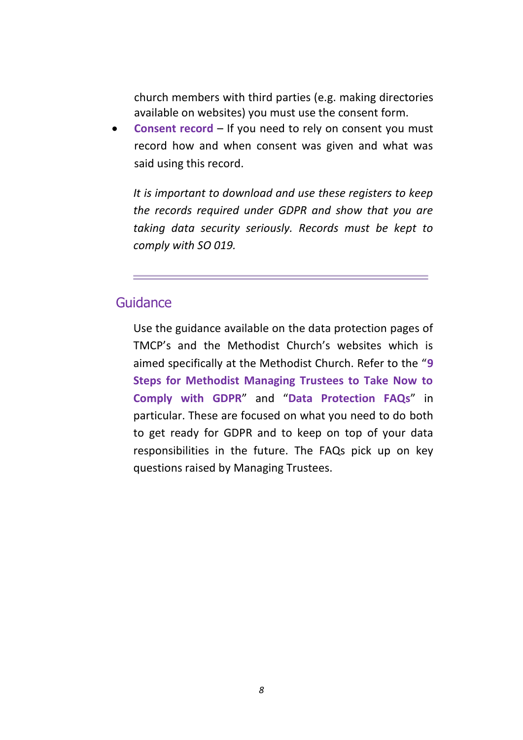church members with third parties (e.g. making directories available on websites) you must use the consent form.

 **Consent record** – If you need to rely on consent you must record how and when consent was given and what was said using this record.

*It is important to download and use these registers to keep the records required under GDPR and show that you are taking data security seriously. Records must be kept to comply with SO 019.*

### Guidance

Use the guidance available on the data protection pages of TMCP's and the Methodist Church's websites which is aimed specifically at the Methodist Church. Refer to the "**9 Steps for Methodist Managing Trustees to Take Now to Comply with GDPR**" and "**Data Protection FAQs**" in particular. These are focused on what you need to do both to get ready for GDPR and to keep on top of your data responsibilities in the future. The FAQs pick up on key questions raised by Managing Trustees.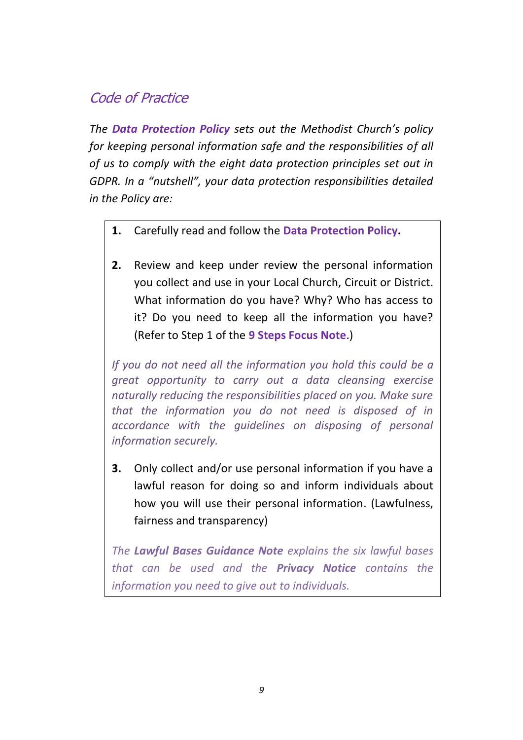# Code of Practice

*The Data Protection Policy sets out the Methodist Church's policy for keeping personal information safe and the responsibilities of all of us to comply with the eight data protection principles set out in GDPR. In a "nutshell", your data protection responsibilities detailed in the Policy are:*

- **1.** Carefully read and follow the **Data Protection Policy.**
- **2.** Review and keep under review the personal information you collect and use in your Local Church, Circuit or District. What information do you have? Why? Who has access to it? Do you need to keep all the information you have? (Refer to Step 1 of the **9 Steps Focus Note**.)

*If you do not need all the information you hold this could be a great opportunity to carry out a data cleansing exercise naturally reducing the responsibilities placed on you. Make sure that the information you do not need is disposed of in accordance with the guidelines on disposing of personal information securely.* 

**3.** Only collect and/or use personal information if you have a lawful reason for doing so and inform individuals about how you will use their personal information. (Lawfulness, fairness and transparency)

*The Lawful Bases Guidance Note explains the six lawful bases that can be used and the Privacy Notice contains the information you need to give out to individuals.*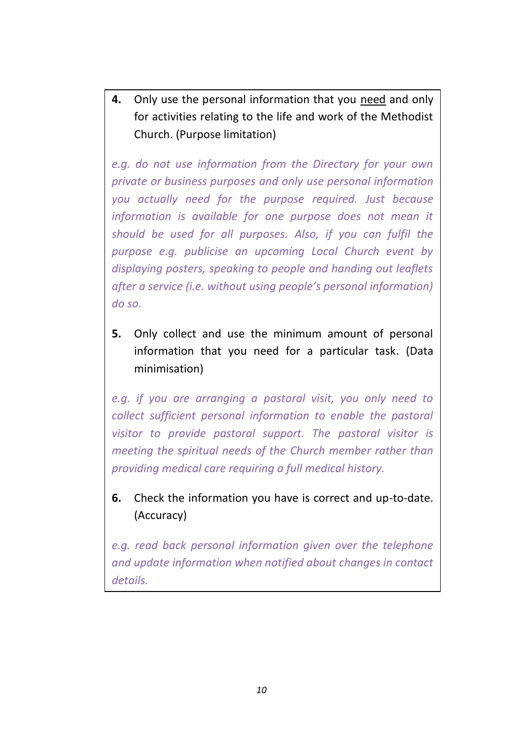**4.** Only use the personal information that you need and only for activities relating to the life and work of the Methodist Church. (Purpose limitation)

*e.g. do not use information from the Directory for your own private or business purposes and only use personal information you actually need for the purpose required. Just because information is available for one purpose does not mean it should be used for all purposes. Also, if you can fulfil the purpose e.g. publicise an upcoming Local Church event by displaying posters, speaking to people and handing out leaflets after a service (i.e. without using people's personal information) do so.* 

**5.** Only collect and use the minimum amount of personal information that you need for a particular task. (Data minimisation)

*e.g. if you are arranging a pastoral visit, you only need to collect sufficient personal information to enable the pastoral visitor to provide pastoral support. The pastoral visitor is meeting the spiritual needs of the Church member rather than providing medical care requiring a full medical history.*

**6.** Check the information you have is correct and up-to-date. (Accuracy)

*e.g. read back personal information given over the telephone and update information when notified about changes in contact details.*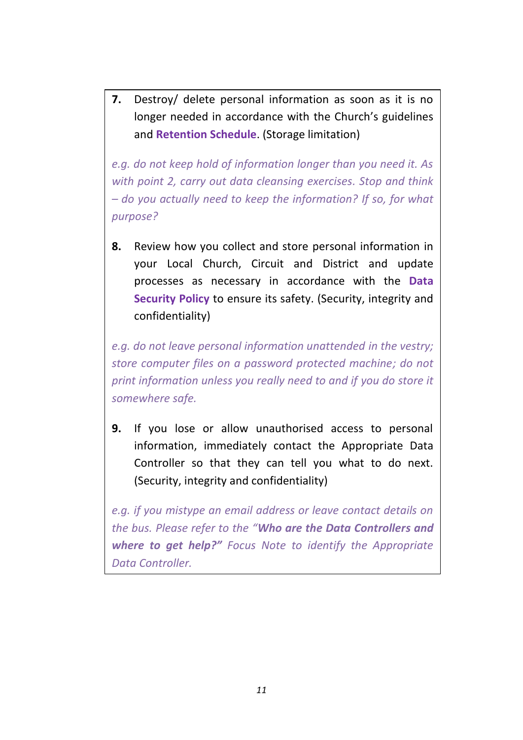**7.** Destroy/ delete personal information as soon as it is no longer needed in accordance with the Church's guidelines and **Retention Schedule**. (Storage limitation)

*e.g. do not keep hold of information longer than you need it. As with point 2, carry out data cleansing exercises. Stop and think – do you actually need to keep the information? If so, for what purpose?*

**8.** Review how you collect and store personal information in your Local Church, Circuit and District and update processes as necessary in accordance with the **Data Security Policy** to ensure its safety. (Security, integrity and confidentiality)

*e.g. do not leave personal information unattended in the vestry; store computer files on a password protected machine; do not print information unless you really need to and if you do store it somewhere safe.*

**9.** If you lose or allow unauthorised access to personal information, immediately contact the Appropriate Data Controller so that they can tell you what to do next. (Security, integrity and confidentiality)

*e.g. if you mistype an email address or leave contact details on the bus. Please refer to the "Who are the Data Controllers and where to get help?" Focus Note to identify the Appropriate Data Controller.*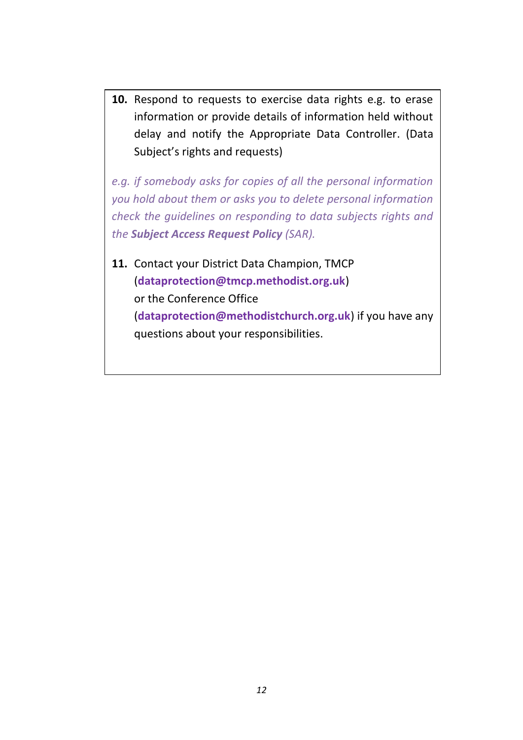**10.** Respond to requests to exercise data rights e.g. to erase information or provide details of information held without delay and notify the Appropriate Data Controller. (Data Subject's rights and requests)

*e.g. if somebody asks for copies of all the personal information you hold about them or asks you to delete personal information check the guidelines on responding to data subjects rights and the Subject Access Request Policy (SAR).*

**11.** Contact your District Data Champion, TMCP (**dataprotection@tmcp.methodist.org.uk**) or the Conference Office (**dataprotection@methodistchurch.org.uk**) if you have any questions about your responsibilities.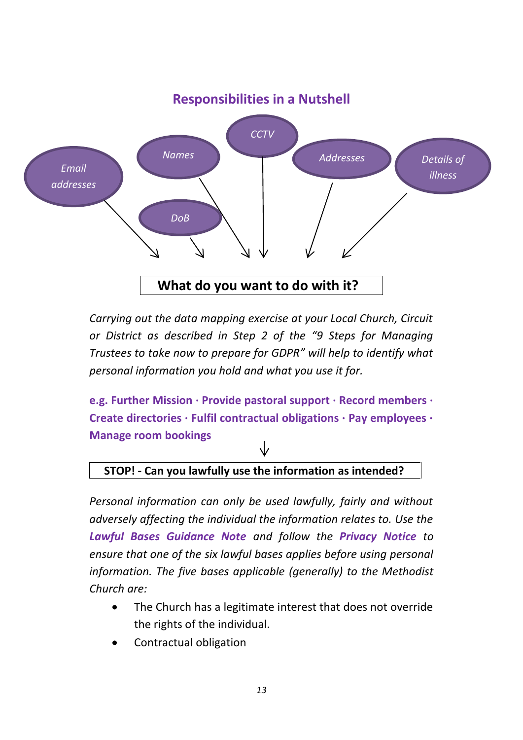

*Carrying out the data mapping exercise at your Local Church, Circuit or District as described in Step 2 of the "9 Steps for Managing Trustees to take now to prepare for GDPR" will help to identify what personal information you hold and what you use it for.*

**e.g. Further Mission ∙ Provide pastoral support ∙ Record members ∙ Create directories ∙ Fulfil contractual obligations ∙ Pay employees ∙ Manage room bookings**

### **STOP! - Can you lawfully use the information as intended?.....**

*Personal information can only be used lawfully, fairly and without adversely affecting the individual the information relates to. Use the Lawful Bases Guidance Note and follow the Privacy Notice to ensure that one of the six lawful bases applies before using personal information. The five bases applicable (generally) to the Methodist Church are:*

- The Church has a legitimate interest that does not override the rights of the individual.
- Contractual obligation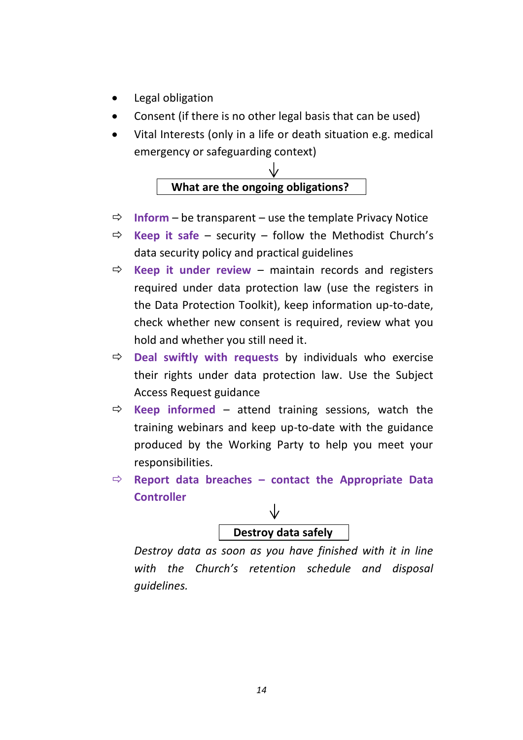- Legal obligation
- Consent (if there is no other legal basis that can be used)
- Vital Interests (only in a life or death situation e.g. medical emergency or safeguarding context)



- $\Rightarrow$  **Inform** be transparent use the template Privacy Notice
- $\Rightarrow$  **Keep it safe** security follow the Methodist Church's data security policy and practical guidelines
- $\Rightarrow$  **Keep it under review** maintain records and registers required under data protection law (use the registers in the Data Protection Toolkit), keep information up-to-date, check whether new consent is required, review what you hold and whether you still need it.
- **Deal swiftly with requests** by individuals who exercise their rights under data protection law. Use the Subject Access Request guidance
- $\Rightarrow$  **Keep informed** attend training sessions, watch the training webinars and keep up-to-date with the guidance produced by the Working Party to help you meet your responsibilities.
- $\Rightarrow$  **Report data breaches contact the Appropriate Data Controller**

# **Destroy data safely…..**

*Destroy data as soon as you have finished with it in line with the Church's retention schedule and disposal guidelines.*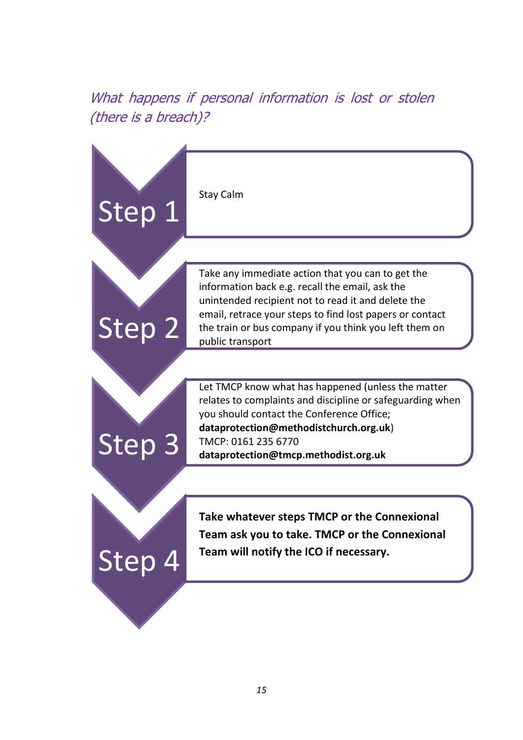# What happens if personal information is lost or stolen (there is a breach)?

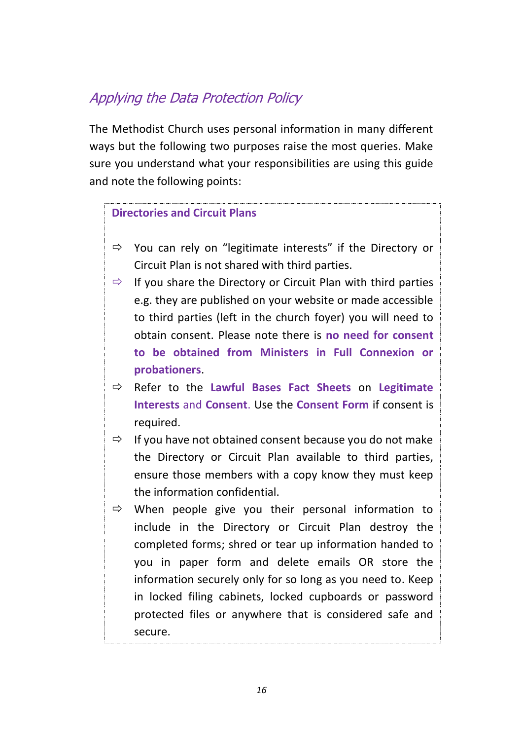# Applying the Data Protection Policy

The Methodist Church uses personal information in many different ways but the following two purposes raise the most queries. Make sure you understand what your responsibilities are using this guide and note the following points:

#### **Directories and Circuit Plans**

- $\Rightarrow$  You can rely on "legitimate interests" if the Directory or Circuit Plan is not shared with third parties.
- $\Rightarrow$  If you share the Directory or Circuit Plan with third parties e.g. they are published on your website or made accessible to third parties (left in the church foyer) you will need to obtain consent. Please note there is **no need for consent to be obtained from Ministers in Full Connexion or probationers**.
- Refer to the **Lawful Bases Fact Sheets** on **Legitimate Interests** and **Consent**. Use the **Consent Form** if consent is required.
- $\Rightarrow$  If you have not obtained consent because you do not make the Directory or Circuit Plan available to third parties, ensure those members with a copy know they must keep the information confidential.
- $\Rightarrow$  When people give you their personal information to include in the Directory or Circuit Plan destroy the completed forms; shred or tear up information handed to you in paper form and delete emails OR store the information securely only for so long as you need to. Keep in locked filing cabinets, locked cupboards or password protected files or anywhere that is considered safe and secure.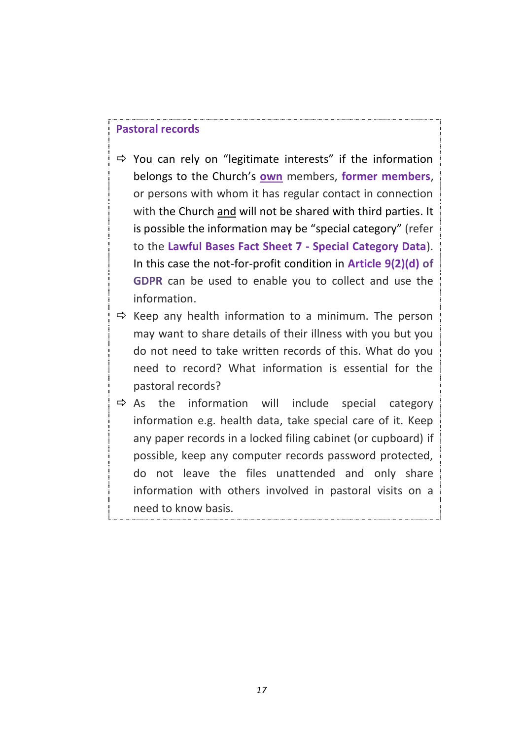#### **Pastoral records**

- $\Rightarrow$  You can rely on "legitimate interests" if the information belongs to the Church's **own** members, **former members**, or persons with whom it has regular contact in connection with the Church and will not be shared with third parties. It is possible the information may be "special category" (refer to the **Lawful Bases Fact Sheet 7 - Special Category Data**). In this case the not-for-profit condition in **Article 9(2)(d) of GDPR** can be used to enable you to collect and use the information.
- $\Rightarrow$  Keep any health information to a minimum. The person may want to share details of their illness with you but you do not need to take written records of this. What do you need to record? What information is essential for the pastoral records?
- $\Rightarrow$  As the information will include special category information e.g. health data, take special care of it. Keep any paper records in a locked filing cabinet (or cupboard) if possible, keep any computer records password protected, do not leave the files unattended and only share information with others involved in pastoral visits on a need to know basis.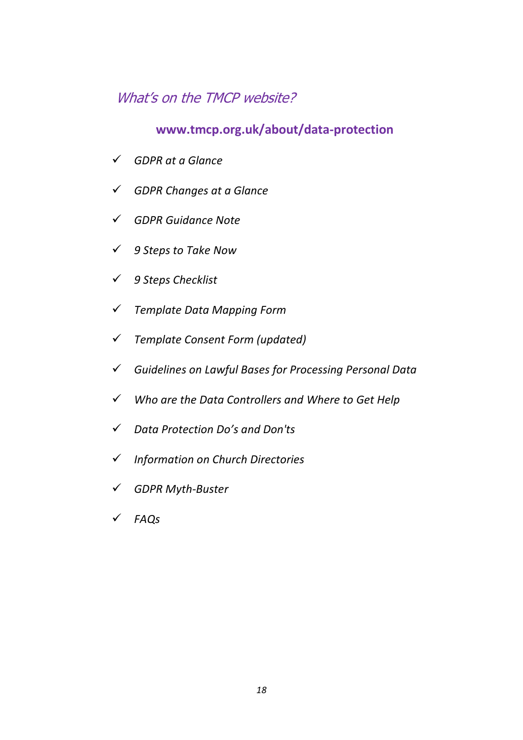# What's on the TMCP website?

### **www.tmcp.org.uk/about/data-protection**

- *GDPR at a Glance*
- *GDPR Changes at a Glance*
- *GDPR Guidance Note*
- *9 Steps to Take Now*
- *9 Steps Checklist*
- *Template Data Mapping Form*
- *Template Consent Form (updated)*
- *Guidelines on Lawful Bases for Processing Personal Data*
- *Who are the Data Controllers and Where to Get Help*
- *Data Protection Do's and Don'ts*
- *Information on Church Directories*
- *GDPR Myth-Buster*
- *FAQs*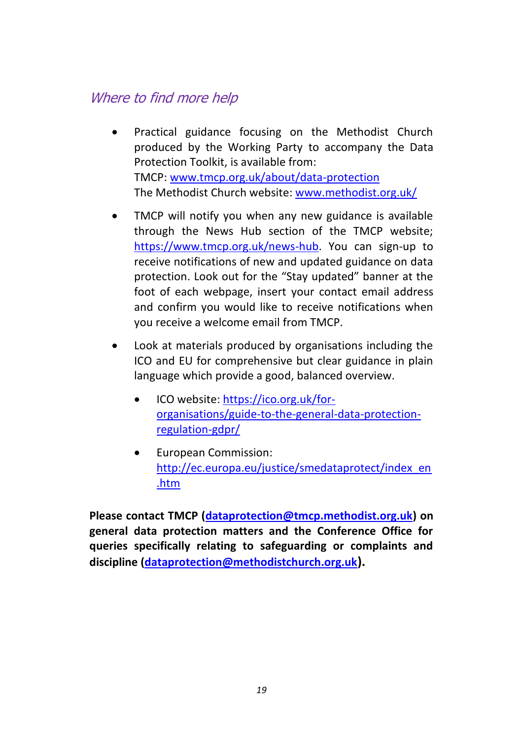# Where to find more help

- Practical guidance focusing on the Methodist Church produced by the Working Party to accompany the Data Protection Toolkit, is available from: TMCP: [www.tmcp.org.uk/about/data-protection](http://www.tmcp.org.uk/about/data-protection) The Methodist Church website: [www.methodist.org.uk/](http://www.methodist.org.uk/)
- TMCP will notify you when any new guidance is available through the News Hub section of the TMCP website; [https://www.tmcp.org.uk/news-hub.](https://www.tmcp.org.uk/news-hub) You can sign-up to receive notifications of new and updated guidance on data protection. Look out for the "Stay updated" banner at the foot of each webpage, insert your contact email address and confirm you would like to receive notifications when you receive a welcome email from TMCP.
- Look at materials produced by organisations including the ICO and EU for comprehensive but clear guidance in plain language which provide a good, balanced overview.
	- ICO website: [https://ico.org.uk/for](https://ico.org.uk/for-organisations/guide-to-the-general-data-protection-regulation-gdpr/)[organisations/guide-to-the-general-data-protection](https://ico.org.uk/for-organisations/guide-to-the-general-data-protection-regulation-gdpr/)[regulation-gdpr/](https://ico.org.uk/for-organisations/guide-to-the-general-data-protection-regulation-gdpr/)
	- European Commission: [http://ec.europa.eu/justice/smedataprotect/index\\_en](http://ec.europa.eu/justice/smedataprotect/index_en.htm) [.htm](http://ec.europa.eu/justice/smedataprotect/index_en.htm)

**Please contact TMCP [\(dataprotection@tmcp.methodist.org.uk\)](mailto:dataprotection@tmcp.methodist.org.uk) on general data protection matters and the Conference Office for queries specifically relating to safeguarding or complaints and discipline [\(dataprotection@methodistchurch.org.uk](mailto:dataprotection@methodistchurch.org.uk)).**